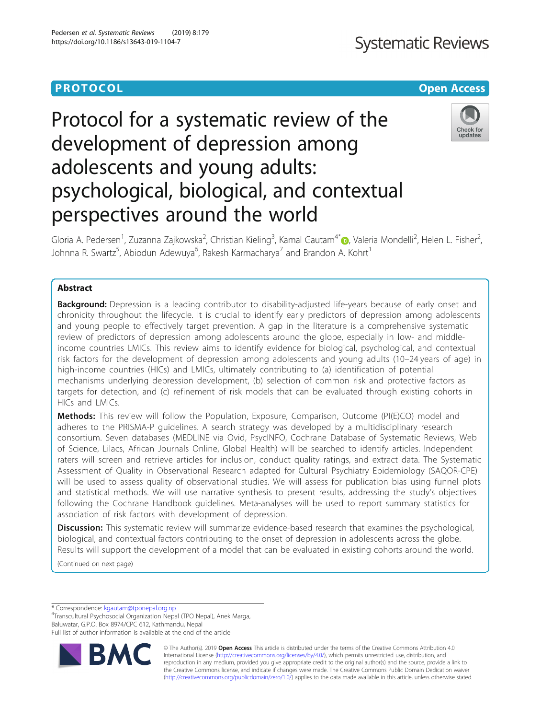# **PROTOCOL CONSUMING THE OPEN ACCESS**

# Protocol for a systematic review of the development of depression among adolescents and young adults: psychological, biological, and contextual perspectives around the world



Gloria A. Pedersen<sup>1</sup>, Zuzanna Zajkowska<sup>2</sup>, Christian Kieling<sup>3</sup>, Kamal Gautam<sup>4[\\*](http://orcid.org/0000-0001-9401-9359)</sup>@, Valeria Mondelli<sup>2</sup>, Helen L. Fisher<sup>2</sup> , Johnna R. Swartz<sup>5</sup>, Abiodun Adewuya<sup>6</sup>, Rakesh Karmacharya<sup>7</sup> and Brandon A. Kohrt<sup>1</sup>

# Abstract

**Background:** Depression is a leading contributor to disability-adjusted life-years because of early onset and chronicity throughout the lifecycle. It is crucial to identify early predictors of depression among adolescents and young people to effectively target prevention. A gap in the literature is a comprehensive systematic review of predictors of depression among adolescents around the globe, especially in low- and middleincome countries LMICs. This review aims to identify evidence for biological, psychological, and contextual risk factors for the development of depression among adolescents and young adults (10–24 years of age) in high-income countries (HICs) and LMICs, ultimately contributing to (a) identification of potential mechanisms underlying depression development, (b) selection of common risk and protective factors as targets for detection, and (c) refinement of risk models that can be evaluated through existing cohorts in HICs and LMICs.

Methods: This review will follow the Population, Exposure, Comparison, Outcome (PI(E)CO) model and adheres to the PRISMA-P guidelines. A search strategy was developed by a multidisciplinary research consortium. Seven databases (MEDLINE via Ovid, PsycINFO, Cochrane Database of Systematic Reviews, Web of Science, Lilacs, African Journals Online, Global Health) will be searched to identify articles. Independent raters will screen and retrieve articles for inclusion, conduct quality ratings, and extract data. The Systematic Assessment of Quality in Observational Research adapted for Cultural Psychiatry Epidemiology (SAQOR-CPE) will be used to assess quality of observational studies. We will assess for publication bias using funnel plots and statistical methods. We will use narrative synthesis to present results, addressing the study's objectives following the Cochrane Handbook guidelines. Meta-analyses will be used to report summary statistics for association of risk factors with development of depression.

**Discussion:** This systematic review will summarize evidence-based research that examines the psychological, biological, and contextual factors contributing to the onset of depression in adolescents across the globe. Results will support the development of a model that can be evaluated in existing cohorts around the world.

(Continued on next page)

\* Correspondence: [kgautam@tponepal.org.np](mailto:kgautam@tponepal.org.np) <sup>4</sup>

Transcultural Psychosocial Organization Nepal (TPO Nepal), Anek Marga, Baluwatar, G.P.O. Box 8974/CPC 612, Kathmandu, Nepal

Full list of author information is available at the end of the article



© The Author(s). 2019 **Open Access** This article is distributed under the terms of the Creative Commons Attribution 4.0 International License [\(http://creativecommons.org/licenses/by/4.0/](http://creativecommons.org/licenses/by/4.0/)), which permits unrestricted use, distribution, and reproduction in any medium, provided you give appropriate credit to the original author(s) and the source, provide a link to the Creative Commons license, and indicate if changes were made. The Creative Commons Public Domain Dedication waiver [\(http://creativecommons.org/publicdomain/zero/1.0/](http://creativecommons.org/publicdomain/zero/1.0/)) applies to the data made available in this article, unless otherwise stated.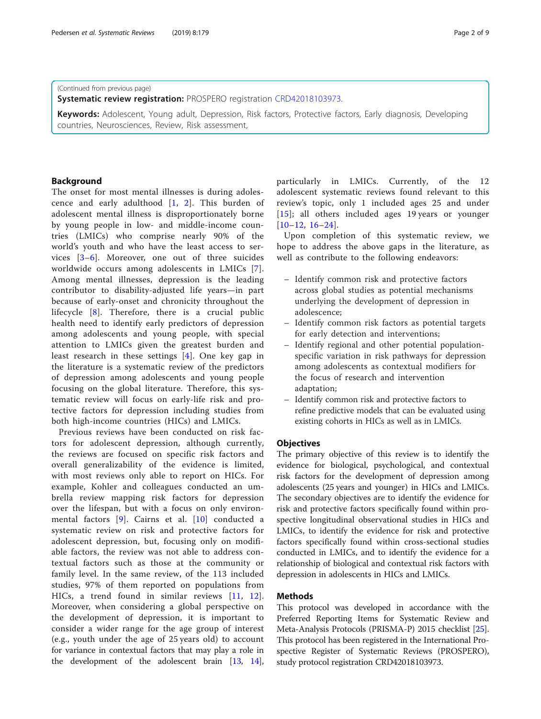Systematic review registration: PROSPERO registration [CRD42018103973.](https://www.crd.york.ac.uk/prospero/display_record.php?RecordID=103973)

Keywords: Adolescent, Young adult, Depression, Risk factors, Protective factors, Early diagnosis, Developing countries, Neurosciences, Review, Risk assessment,

#### Background

The onset for most mental illnesses is during adolescence and early adulthood [[1](#page-7-0), [2](#page-7-0)]. This burden of adolescent mental illness is disproportionately borne by young people in low- and middle-income countries (LMICs) who comprise nearly 90% of the world's youth and who have the least access to services [[3](#page-7-0)–[6](#page-7-0)]. Moreover, one out of three suicides worldwide occurs among adolescents in LMICs [[7](#page-7-0)]. Among mental illnesses, depression is the leading contributor to disability-adjusted life years—in part because of early-onset and chronicity throughout the lifecycle [[8](#page-7-0)]. Therefore, there is a crucial public health need to identify early predictors of depression among adolescents and young people, with special attention to LMICs given the greatest burden and least research in these settings [[4\]](#page-7-0). One key gap in the literature is a systematic review of the predictors of depression among adolescents and young people focusing on the global literature. Therefore, this systematic review will focus on early-life risk and protective factors for depression including studies from both high-income countries (HICs) and LMICs.

Previous reviews have been conducted on risk factors for adolescent depression, although currently, the reviews are focused on specific risk factors and overall generalizability of the evidence is limited, with most reviews only able to report on HICs. For example, Kohler and colleagues conducted an umbrella review mapping risk factors for depression over the lifespan, but with a focus on only environmental factors [[9\]](#page-7-0). Cairns et al. [[10\]](#page-7-0) conducted a systematic review on risk and protective factors for adolescent depression, but, focusing only on modifiable factors, the review was not able to address contextual factors such as those at the community or family level. In the same review, of the 113 included studies, 97% of them reported on populations from HICs, a trend found in similar reviews [\[11](#page-7-0), [12](#page-7-0)]. Moreover, when considering a global perspective on the development of depression, it is important to consider a wider range for the age group of interest (e.g., youth under the age of 25 years old) to account for variance in contextual factors that may play a role in the development of the adolescent brain [[13](#page-7-0), [14](#page-7-0)],

particularly in LMICs. Currently, of the 12 adolescent systematic reviews found relevant to this review's topic, only 1 included ages 25 and under [[15](#page-7-0)]; all others included ages 19 years or younger [[10](#page-7-0)–[12,](#page-7-0) [16](#page-7-0)–[24](#page-8-0)].

Upon completion of this systematic review, we hope to address the above gaps in the literature, as well as contribute to the following endeavors:

- Identify common risk and protective factors across global studies as potential mechanisms underlying the development of depression in adolescence;
- Identify common risk factors as potential targets for early detection and interventions;
- Identify regional and other potential populationspecific variation in risk pathways for depression among adolescents as contextual modifiers for the focus of research and intervention adaptation;
- Identify common risk and protective factors to refine predictive models that can be evaluated using existing cohorts in HICs as well as in LMICs.

#### **Objectives**

The primary objective of this review is to identify the evidence for biological, psychological, and contextual risk factors for the development of depression among adolescents (25 years and younger) in HICs and LMICs. The secondary objectives are to identify the evidence for risk and protective factors specifically found within prospective longitudinal observational studies in HICs and LMICs, to identify the evidence for risk and protective factors specifically found within cross-sectional studies conducted in LMICs, and to identify the evidence for a relationship of biological and contextual risk factors with depression in adolescents in HICs and LMICs.

# Methods

This protocol was developed in accordance with the Preferred Reporting Items for Systematic Review and Meta-Analysis Protocols (PRISMA-P) 2015 checklist [[25](#page-8-0)]. This protocol has been registered in the International Prospective Register of Systematic Reviews (PROSPERO), study protocol registration CRD42018103973.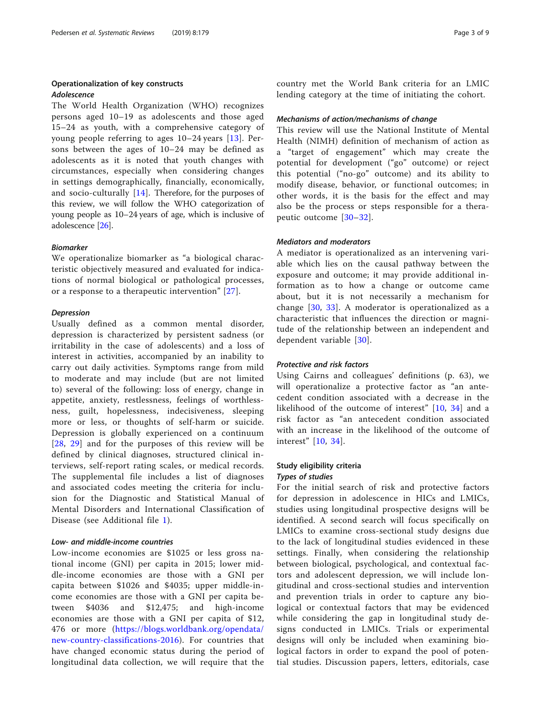# Operationalization of key constructs Adolescence

The World Health Organization (WHO) recognizes persons aged 10–19 as adolescents and those aged 15–24 as youth, with a comprehensive category of young people referring to ages 10–24 years [[13](#page-7-0)]. Persons between the ages of 10–24 may be defined as adolescents as it is noted that youth changes with circumstances, especially when considering changes in settings demographically, financially, economically, and socio-culturally [[14](#page-7-0)]. Therefore, for the purposes of this review, we will follow the WHO categorization of young people as 10–24 years of age, which is inclusive of adolescence [[26\]](#page-8-0).

#### Biomarker

We operationalize biomarker as "a biological characteristic objectively measured and evaluated for indications of normal biological or pathological processes, or a response to a therapeutic intervention" [\[27](#page-8-0)].

#### Depression

Usually defined as a common mental disorder, depression is characterized by persistent sadness (or irritability in the case of adolescents) and a loss of interest in activities, accompanied by an inability to carry out daily activities. Symptoms range from mild to moderate and may include (but are not limited to) several of the following: loss of energy, change in appetite, anxiety, restlessness, feelings of worthlessness, guilt, hopelessness, indecisiveness, sleeping more or less, or thoughts of self-harm or suicide. Depression is globally experienced on a continuum [[28](#page-8-0), [29\]](#page-8-0) and for the purposes of this review will be defined by clinical diagnoses, structured clinical interviews, self-report rating scales, or medical records. The supplemental file includes a list of diagnoses and associated codes meeting the criteria for inclusion for the Diagnostic and Statistical Manual of Mental Disorders and International Classification of Disease (see Additional file [1](#page-7-0)).

#### Low- and middle-income countries

Low-income economies are \$1025 or less gross national income (GNI) per capita in 2015; lower middle-income economies are those with a GNI per capita between \$1026 and \$4035; upper middle-income economies are those with a GNI per capita between \$4036 and \$12,475; and high-income economies are those with a GNI per capita of \$12, 476 or more ([https://blogs.worldbank.org/opendata/](https://blogs.worldbank.org/opendata/new-country-classifications-2016) [new-country-classifications-2016](https://blogs.worldbank.org/opendata/new-country-classifications-2016)). For countries that have changed economic status during the period of longitudinal data collection, we will require that the country met the World Bank criteria for an LMIC lending category at the time of initiating the cohort.

#### Mechanisms of action/mechanisms of change

This review will use the National Institute of Mental Health (NIMH) definition of mechanism of action as a "target of engagement" which may create the potential for development ("go" outcome) or reject this potential ("no-go" outcome) and its ability to modify disease, behavior, or functional outcomes; in other words, it is the basis for the effect and may also be the process or steps responsible for a therapeutic outcome [[30](#page-8-0)–[32\]](#page-8-0).

# Mediators and moderators

A mediator is operationalized as an intervening variable which lies on the causal pathway between the exposure and outcome; it may provide additional information as to how a change or outcome came about, but it is not necessarily a mechanism for change [\[30](#page-8-0), [33](#page-8-0)]. A moderator is operationalized as a characteristic that influences the direction or magnitude of the relationship between an independent and dependent variable [[30\]](#page-8-0).

#### Protective and risk factors

Using Cairns and colleagues' definitions (p. 63), we will operationalize a protective factor as "an antecedent condition associated with a decrease in the likelihood of the outcome of interest" [\[10,](#page-7-0) [34](#page-8-0)] and a risk factor as "an antecedent condition associated with an increase in the likelihood of the outcome of interest" [[10](#page-7-0), [34\]](#page-8-0).

# Study eligibility criteria Types of studies

For the initial search of risk and protective factors for depression in adolescence in HICs and LMICs, studies using longitudinal prospective designs will be identified. A second search will focus specifically on LMICs to examine cross-sectional study designs due to the lack of longitudinal studies evidenced in these settings. Finally, when considering the relationship between biological, psychological, and contextual factors and adolescent depression, we will include longitudinal and cross-sectional studies and intervention and prevention trials in order to capture any biological or contextual factors that may be evidenced while considering the gap in longitudinal study designs conducted in LMICs. Trials or experimental designs will only be included when examining biological factors in order to expand the pool of potential studies. Discussion papers, letters, editorials, case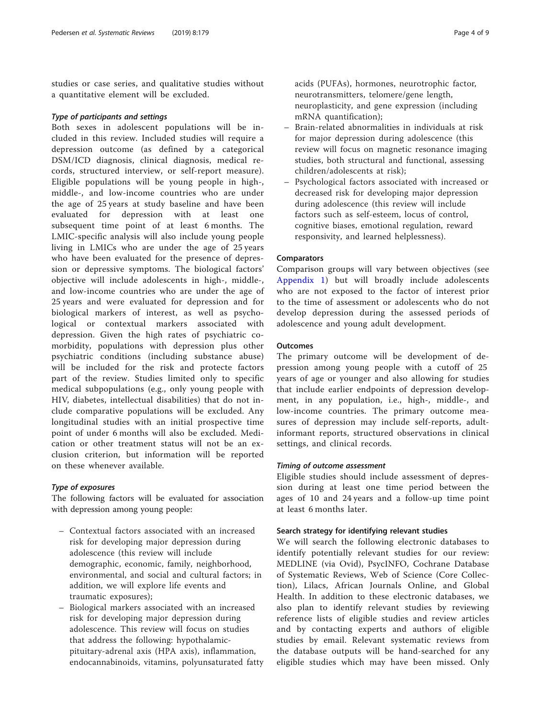studies or case series, and qualitative studies without a quantitative element will be excluded.

#### Type of participants and settings

Both sexes in adolescent populations will be included in this review. Included studies will require a depression outcome (as defined by a categorical DSM/ICD diagnosis, clinical diagnosis, medical records, structured interview, or self-report measure). Eligible populations will be young people in high-, middle-, and low-income countries who are under the age of 25 years at study baseline and have been evaluated for depression with at least one subsequent time point of at least 6 months. The LMIC-specific analysis will also include young people living in LMICs who are under the age of 25 years who have been evaluated for the presence of depression or depressive symptoms. The biological factors' objective will include adolescents in high-, middle-, and low-income countries who are under the age of 25 years and were evaluated for depression and for biological markers of interest, as well as psychological or contextual markers associated with depression. Given the high rates of psychiatric comorbidity, populations with depression plus other psychiatric conditions (including substance abuse) will be included for the risk and protecte factors part of the review. Studies limited only to specific medical subpopulations (e.g., only young people with HIV, diabetes, intellectual disabilities) that do not include comparative populations will be excluded. Any longitudinal studies with an initial prospective time point of under 6 months will also be excluded. Medication or other treatment status will not be an exclusion criterion, but information will be reported on these whenever available.

# Type of exposures

The following factors will be evaluated for association with depression among young people:

- Contextual factors associated with an increased risk for developing major depression during adolescence (this review will include demographic, economic, family, neighborhood, environmental, and social and cultural factors; in addition, we will explore life events and traumatic exposures);
- Biological markers associated with an increased risk for developing major depression during adolescence. This review will focus on studies that address the following: hypothalamicpituitary-adrenal axis (HPA axis), inflammation, endocannabinoids, vitamins, polyunsaturated fatty

acids (PUFAs), hormones, neurotrophic factor, neurotransmitters, telomere/gene length, neuroplasticity, and gene expression (including mRNA quantification);

- Brain-related abnormalities in individuals at risk for major depression during adolescence (this review will focus on magnetic resonance imaging studies, both structural and functional, assessing children/adolescents at risk);
- Psychological factors associated with increased or decreased risk for developing major depression during adolescence (this review will include factors such as self-esteem, locus of control, cognitive biases, emotional regulation, reward responsivity, and learned helplessness).

#### **Comparators**

Comparison groups will vary between objectives (see Appendix 1) but will broadly include adolescents who are not exposed to the factor of interest prior to the time of assessment or adolescents who do not develop depression during the assessed periods of adolescence and young adult development.

#### **Outcomes**

The primary outcome will be development of depression among young people with a cutoff of 25 years of age or younger and also allowing for studies that include earlier endpoints of depression development, in any population, i.e., high-, middle-, and low-income countries. The primary outcome measures of depression may include self-reports, adultinformant reports, structured observations in clinical settings, and clinical records.

# Timing of outcome assessment

Eligible studies should include assessment of depression during at least one time period between the ages of 10 and 24 years and a follow-up time point at least 6 months later.

# Search strategy for identifying relevant studies

We will search the following electronic databases to identify potentially relevant studies for our review: MEDLINE (via Ovid), PsycINFO, Cochrane Database of Systematic Reviews, Web of Science (Core Collection), Lilacs, African Journals Online, and Global Health. In addition to these electronic databases, we also plan to identify relevant studies by reviewing reference lists of eligible studies and review articles and by contacting experts and authors of eligible studies by email. Relevant systematic reviews from the database outputs will be hand-searched for any eligible studies which may have been missed. Only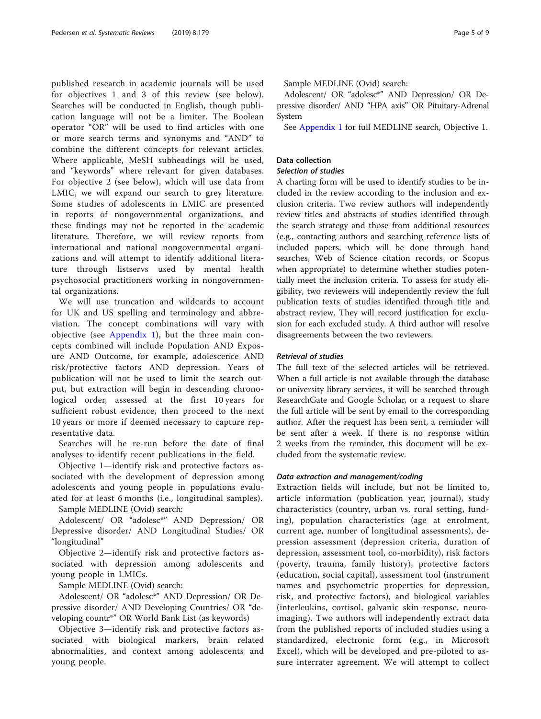published research in academic journals will be used for objectives 1 and 3 of this review (see below). Searches will be conducted in English, though publication language will not be a limiter. The Boolean operator "OR" will be used to find articles with one or more search terms and synonyms and "AND" to combine the different concepts for relevant articles. Where applicable, MeSH subheadings will be used, and "keywords" where relevant for given databases. For objective 2 (see below), which will use data from LMIC, we will expand our search to grey literature. Some studies of adolescents in LMIC are presented in reports of nongovernmental organizations, and these findings may not be reported in the academic literature. Therefore, we will review reports from international and national nongovernmental organizations and will attempt to identify additional literature through listservs used by mental health psychosocial practitioners working in nongovernmental organizations.

We will use truncation and wildcards to account for UK and US spelling and terminology and abbreviation. The concept combinations will vary with objective (see Appendix 1), but the three main concepts combined will include Population AND Exposure AND Outcome, for example, adolescence AND risk/protective factors AND depression. Years of publication will not be used to limit the search output, but extraction will begin in descending chronological order, assessed at the first 10 years for sufficient robust evidence, then proceed to the next 10 years or more if deemed necessary to capture representative data.

Searches will be re-run before the date of final analyses to identify recent publications in the field.

Objective 1—identify risk and protective factors associated with the development of depression among adolescents and young people in populations evaluated for at least 6 months (i.e., longitudinal samples). Sample MEDLINE (Ovid) search:

Adolescent/ OR "adolesc\*" AND Depression/ OR

Depressive disorder/ AND Longitudinal Studies/ OR "longitudinal"

Objective 2—identify risk and protective factors associated with depression among adolescents and young people in LMICs.

Sample MEDLINE (Ovid) search:

Adolescent/ OR "adolesc\*" AND Depression/ OR Depressive disorder/ AND Developing Countries/ OR "developing countr\*" OR World Bank List (as keywords)

Objective 3—identify risk and protective factors associated with biological markers, brain related abnormalities, and context among adolescents and young people.

Sample MEDLINE (Ovid) search:

Adolescent/ OR "adolesc\*" AND Depression/ OR Depressive disorder/ AND "HPA axis" OR Pituitary-Adrenal System

See Appendix 1 for full MEDLINE search, Objective 1.

# Data collection

# Selection of studies

A charting form will be used to identify studies to be included in the review according to the inclusion and exclusion criteria. Two review authors will independently review titles and abstracts of studies identified through the search strategy and those from additional resources (e.g., contacting authors and searching reference lists of included papers, which will be done through hand searches, Web of Science citation records, or Scopus when appropriate) to determine whether studies potentially meet the inclusion criteria. To assess for study eligibility, two reviewers will independently review the full publication texts of studies identified through title and abstract review. They will record justification for exclusion for each excluded study. A third author will resolve disagreements between the two reviewers.

# Retrieval of studies

The full text of the selected articles will be retrieved. When a full article is not available through the database or university library services, it will be searched through ResearchGate and Google Scholar, or a request to share the full article will be sent by email to the corresponding author. After the request has been sent, a reminder will be sent after a week. If there is no response within 2 weeks from the reminder, this document will be excluded from the systematic review.

### Data extraction and management/coding

Extraction fields will include, but not be limited to, article information (publication year, journal), study characteristics (country, urban vs. rural setting, funding), population characteristics (age at enrolment, current age, number of longitudinal assessments), depression assessment (depression criteria, duration of depression, assessment tool, co-morbidity), risk factors (poverty, trauma, family history), protective factors (education, social capital), assessment tool (instrument names and psychometric properties for depression, risk, and protective factors), and biological variables (interleukins, cortisol, galvanic skin response, neuroimaging). Two authors will independently extract data from the published reports of included studies using a standardized, electronic form (e.g., in Microsoft Excel), which will be developed and pre-piloted to assure interrater agreement. We will attempt to collect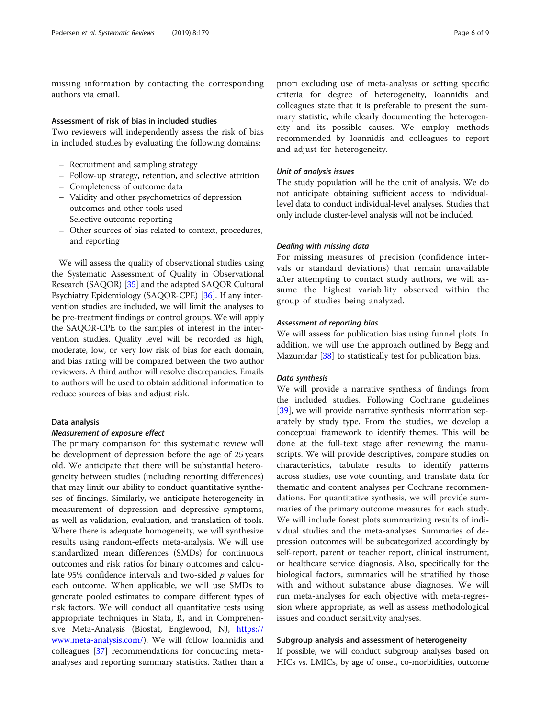missing information by contacting the corresponding authors via email.

#### Assessment of risk of bias in included studies

Two reviewers will independently assess the risk of bias in included studies by evaluating the following domains:

- Recruitment and sampling strategy
- Follow-up strategy, retention, and selective attrition
- Completeness of outcome data
- Validity and other psychometrics of depression outcomes and other tools used
- Selective outcome reporting
- Other sources of bias related to context, procedures, and reporting

We will assess the quality of observational studies using the Systematic Assessment of Quality in Observational Research (SAQOR) [[35](#page-8-0)] and the adapted SAQOR Cultural Psychiatry Epidemiology (SAQOR-CPE) [\[36\]](#page-8-0). If any intervention studies are included, we will limit the analyses to be pre-treatment findings or control groups. We will apply the SAQOR-CPE to the samples of interest in the intervention studies. Quality level will be recorded as high, moderate, low, or very low risk of bias for each domain, and bias rating will be compared between the two author reviewers. A third author will resolve discrepancies. Emails to authors will be used to obtain additional information to reduce sources of bias and adjust risk.

#### Data analysis

#### Measurement of exposure effect

The primary comparison for this systematic review will be development of depression before the age of 25 years old. We anticipate that there will be substantial heterogeneity between studies (including reporting differences) that may limit our ability to conduct quantitative syntheses of findings. Similarly, we anticipate heterogeneity in measurement of depression and depressive symptoms, as well as validation, evaluation, and translation of tools. Where there is adequate homogeneity, we will synthesize results using random-effects meta-analysis. We will use standardized mean differences (SMDs) for continuous outcomes and risk ratios for binary outcomes and calculate 95% confidence intervals and two-sided p values for each outcome. When applicable, we will use SMDs to generate pooled estimates to compare different types of risk factors. We will conduct all quantitative tests using appropriate techniques in Stata, R, and in Comprehensive Meta-Analysis (Biostat, Englewood, NJ, [https://](https://www.meta-analysis.com/) [www.meta-analysis.com/\)](https://www.meta-analysis.com/). We will follow Ioannidis and colleagues [[37\]](#page-8-0) recommendations for conducting metaanalyses and reporting summary statistics. Rather than a priori excluding use of meta-analysis or setting specific criteria for degree of heterogeneity, Ioannidis and colleagues state that it is preferable to present the summary statistic, while clearly documenting the heterogeneity and its possible causes. We employ methods recommended by Ioannidis and colleagues to report and adjust for heterogeneity.

#### Unit of analysis issues

The study population will be the unit of analysis. We do not anticipate obtaining sufficient access to individuallevel data to conduct individual-level analyses. Studies that only include cluster-level analysis will not be included.

#### Dealing with missing data

For missing measures of precision (confidence intervals or standard deviations) that remain unavailable after attempting to contact study authors, we will assume the highest variability observed within the group of studies being analyzed.

#### Assessment of reporting bias

We will assess for publication bias using funnel plots. In addition, we will use the approach outlined by Begg and Mazumdar [\[38](#page-8-0)] to statistically test for publication bias.

#### Data synthesis

We will provide a narrative synthesis of findings from the included studies. Following Cochrane guidelines [[39\]](#page-8-0), we will provide narrative synthesis information separately by study type. From the studies, we develop a conceptual framework to identify themes. This will be done at the full-text stage after reviewing the manuscripts. We will provide descriptives, compare studies on characteristics, tabulate results to identify patterns across studies, use vote counting, and translate data for thematic and content analyses per Cochrane recommendations. For quantitative synthesis, we will provide summaries of the primary outcome measures for each study. We will include forest plots summarizing results of individual studies and the meta-analyses. Summaries of depression outcomes will be subcategorized accordingly by self-report, parent or teacher report, clinical instrument, or healthcare service diagnosis. Also, specifically for the biological factors, summaries will be stratified by those with and without substance abuse diagnoses. We will run meta-analyses for each objective with meta-regression where appropriate, as well as assess methodological issues and conduct sensitivity analyses.

#### Subgroup analysis and assessment of heterogeneity

If possible, we will conduct subgroup analyses based on HICs vs. LMICs, by age of onset, co-morbidities, outcome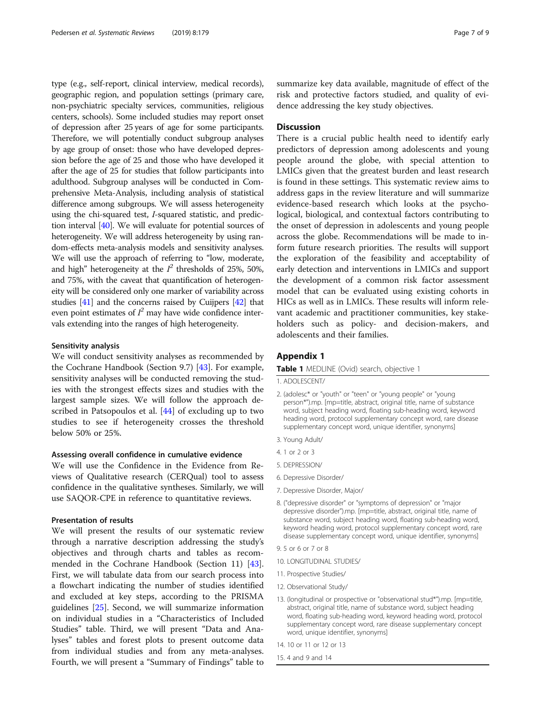type (e.g., self-report, clinical interview, medical records), geographic region, and population settings (primary care, non-psychiatric specialty services, communities, religious centers, schools). Some included studies may report onset of depression after 25 years of age for some participants. Therefore, we will potentially conduct subgroup analyses by age group of onset: those who have developed depression before the age of 25 and those who have developed it after the age of 25 for studies that follow participants into adulthood. Subgroup analyses will be conducted in Comprehensive Meta-Analysis, including analysis of statistical difference among subgroups. We will assess heterogeneity using the chi-squared test, I-squared statistic, and prediction interval [\[40\]](#page-8-0). We will evaluate for potential sources of heterogeneity. We will address heterogeneity by using random-effects meta-analysis models and sensitivity analyses. We will use the approach of referring to "low, moderate, and high" heterogeneity at the  $I^2$  thresholds of 25%, 50%, and 75%, with the caveat that quantification of heterogeneity will be considered only one marker of variability across studies [\[41](#page-8-0)] and the concerns raised by Cuijpers [[42](#page-8-0)] that even point estimates of  $I^2$  may have wide confidence intervals extending into the ranges of high heterogeneity.

### Sensitivity analysis

We will conduct sensitivity analyses as recommended by the Cochrane Handbook (Section 9.7) [\[43\]](#page-8-0). For example, sensitivity analyses will be conducted removing the studies with the strongest effects sizes and studies with the largest sample sizes. We will follow the approach described in Patsopoulos et al. [[44](#page-8-0)] of excluding up to two studies to see if heterogeneity crosses the threshold below 50% or 25%.

#### Assessing overall confidence in cumulative evidence

We will use the Confidence in the Evidence from Reviews of Qualitative research (CERQual) tool to assess confidence in the qualitative syntheses. Similarly, we will use SAQOR-CPE in reference to quantitative reviews.

# Presentation of results

We will present the results of our systematic review through a narrative description addressing the study's objectives and through charts and tables as recommended in the Cochrane Handbook (Section 11) [\[43](#page-8-0)]. First, we will tabulate data from our search process into a flowchart indicating the number of studies identified and excluded at key steps, according to the PRISMA guidelines [[25\]](#page-8-0). Second, we will summarize information on individual studies in a "Characteristics of Included Studies" table. Third, we will present "Data and Analyses" tables and forest plots to present outcome data from individual studies and from any meta-analyses. Fourth, we will present a "Summary of Findings" table to summarize key data available, magnitude of effect of the risk and protective factors studied, and quality of evidence addressing the key study objectives.

# **Discussion**

There is a crucial public health need to identify early predictors of depression among adolescents and young people around the globe, with special attention to LMICs given that the greatest burden and least research is found in these settings. This systematic review aims to address gaps in the review literature and will summarize evidence-based research which looks at the psychological, biological, and contextual factors contributing to the onset of depression in adolescents and young people across the globe. Recommendations will be made to inform future research priorities. The results will support the exploration of the feasibility and acceptability of early detection and interventions in LMICs and support the development of a common risk factor assessment model that can be evaluated using existing cohorts in HICs as well as in LMICs. These results will inform relevant academic and practitioner communities, key stakeholders such as policy- and decision-makers, and adolescents and their families.

# Appendix 1

Table 1 MEDLINE (Ovid) search, objective 1

1. ADOLESCENT/

- 2. (adolesc\* or "youth" or "teen" or "young people" or "young person\*").mp. [mp=title, abstract, original title, name of substance word, subject heading word, floating sub-heading word, keyword heading word, protocol supplementary concept word, rare disease supplementary concept word, unique identifier, synonyms]
- 3. Young Adult/
- 4. 1 or 2 or 3
- 5. DEPRESSION/
- 6. Depressive Disorder/
- 7. Depressive Disorder, Major/
- 8. ("depressive disorder" or "symptoms of depression" or "major depressive disorder").mp. [mp=title, abstract, original title, name of substance word, subject heading word, floating sub-heading word, keyword heading word, protocol supplementary concept word, rare disease supplementary concept word, unique identifier, synonyms]
- 9. 5 or 6 or 7 or 8
- 10. LONGITUDINAL STUDIES/
- 11. Prospective Studies/
- 12. Observational Study/
- 13. (longitudinal or prospective or "observational stud\*").mp. [mp=title, abstract, original title, name of substance word, subject heading word, floating sub-heading word, keyword heading word, protocol supplementary concept word, rare disease supplementary concept word, unique identifier, synonyms]
- 14. 10 or 11 or 12 or 13
- 15. 4 and 9 and 14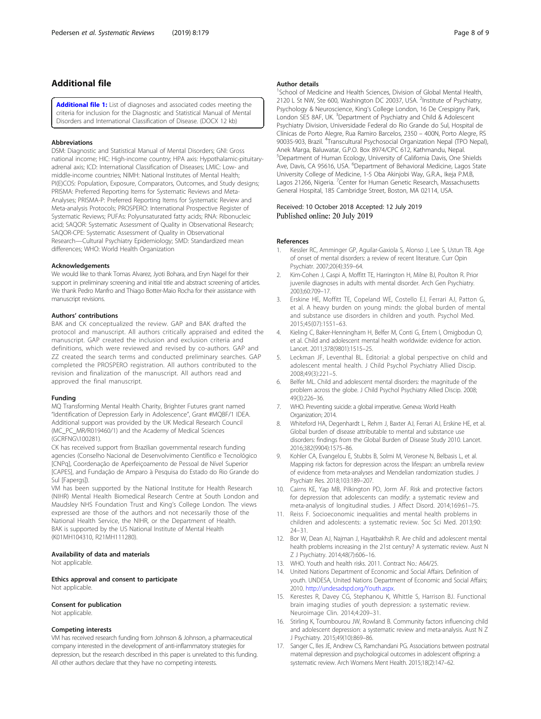# <span id="page-7-0"></span>Additional file

[Additional file 1:](https://doi.org/10.1186/s13643-019-1104-7) List of diagnoses and associated codes meeting the criteria for inclusion for the Diagnostic and Statistical Manual of Mental Disorders and International Classification of Disease. (DOCX 12 kb)

#### Abbreviations

DSM: Diagnostic and Statistical Manual of Mental Disorders; GNI: Gross national income; HIC: High-income country; HPA axis: Hypothalamic-pituitaryadrenal axis; ICD: International Classification of Diseases; LMIC: Low- and middle-income countries; NIMH: National Institutes of Mental Health; PI(E)COS: Population, Exposure, Comparators, Outcomes, and Study designs; PRISMA: Preferred Reporting Items for Systematic Reviews and Meta-Analyses; PRISMA-P: Preferred Reporting Items for Systematic Review and Meta-analysis Protocols; PROSPERO: International Prospective Register of Systematic Reviews; PUFAs: Polyunsaturated fatty acids; RNA: Ribonucleic acid; SAQOR: Systematic Assessment of Quality in Observational Research; SAQOR-CPE: Systematic Assessment of Quality in Observational Research—Cultural Psychiatry Epidemiology; SMD: Standardized mean differences; WHO: World Health Organization

#### Acknowledgements

We would like to thank Tomas Alvarez, Jyoti Bohara, and Eryn Nagel for their support in preliminary screening and initial title and abstract screening of articles. We thank Pedro Manfro and Thiago Botter-Maio Rocha for their assistance with manuscript revisions.

#### Authors' contributions

BAK and CK conceptualized the review. GAP and BAK drafted the protocol and manuscript. All authors critically appraised and edited the manuscript. GAP created the inclusion and exclusion criteria and definitions, which were reviewed and revised by co-authors. GAP and ZZ created the search terms and conducted preliminary searches. GAP completed the PROSPERO registration. All authors contributed to the revision and finalization of the manuscript. All authors read and approved the final manuscript.

#### Funding

MQ Transforming Mental Health Charity, Brighter Futures grant named "Identification of Depression Early in Adolescence", Grant #MQBF/1 IDEA. Additional support was provided by the UK Medical Research Council (MC\_PC\_MR/R019460/1) and the Academy of Medical Sciences (GCRFNG\100281).

CK has received support from Brazilian governmental research funding agencies (Conselho Nacional de Desenvolvimento Científico e Tecnológico [CNPq], Coordenação de Aperfeiçoamento de Pessoal de Nível Superior [CAPES], and Fundação de Amparo à Pesquisa do Estado do Rio Grande do Sul [Fapergs]).

VM has been supported by the National Institute for Health Research (NIHR) Mental Health Biomedical Research Centre at South London and Maudsley NHS Foundation Trust and King's College London. The views expressed are those of the authors and not necessarily those of the National Health Service, the NIHR, or the Department of Health. BAK is supported by the US National Institute of Mental Health (K01MH104310, R21MH111280).

#### Availability of data and materials

Not applicable.

# Ethics approval and consent to participate

Not applicable.

#### Consent for publication

Not applicable.

#### Competing interests

VM has received research funding from Johnson & Johnson, a pharmaceutical company interested in the development of anti-inflammatory strategies for depression, but the research described in this paper is unrelated to this funding. All other authors declare that they have no competing interests.

#### Author details

<sup>1</sup>School of Medicine and Health Sciences, Division of Global Mental Health, 2120 L St NW, Ste 600, Washington DC 20037, USA. <sup>2</sup>Institute of Psychiatry, Psychology & Neuroscience, King's College London, 16 De Crespigny Park, London SE5 8AF, UK. <sup>3</sup>Department of Psychiatry and Child & Adolescent Psychiatry Division, Universidade Federal do Rio Grande do Sul, Hospital de Clínicas de Porto Alegre, Rua Ramiro Barcelos, 2350 – 400N, Porto Alegre, RS 90035-903, Brazil. <sup>4</sup>Transcultural Psychosocial Organization Nepal (TPO Nepal) Anek Marga, Baluwatar, G.P.O. Box 8974/CPC 612, Kathmandu, Nepal. 5 Department of Human Ecology, University of California Davis, One Shields Ave, Davis, CA 95616, USA. <sup>6</sup>Department of Behavioral Medicine, Lagos State University College of Medicine, 1-5 Oba Akinjobi Way, G.R.A., Ikeja P.M.B, Lagos 21266, Nigeria. <sup>7</sup> Center for Human Genetic Research, Massachusetts General Hospital, 185 Cambridge Street, Boston, MA 02114, USA.

#### Received: 10 October 2018 Accepted: 12 July 2019 Published online: 20 July 2019

#### References

- 1. Kessler RC, Amminger GP, Aguilar-Gaxiola S, Alonso J, Lee S, Ustun TB. Age of onset of mental disorders: a review of recent literature. Curr Opin Psychiatr. 2007;20(4):359–64.
- 2. Kim-Cohen J, Caspi A, Moffitt TE, Harrington H, Milne BJ, Poulton R. Prior juvenile diagnoses in adults with mental disorder. Arch Gen Psychiatry. 2003;60:709–17.
- 3. Erskine HE, Moffitt TE, Copeland WE, Costello EJ, Ferrari AJ, Patton G, et al. A heavy burden on young minds: the global burden of mental and substance use disorders in children and youth. Psychol Med. 2015;45(07):1551–63.
- 4. Kieling C, Baker-Henningham H, Belfer M, Conti G, Ertem I, Omigbodun O, et al. Child and adolescent mental health worldwide: evidence for action. Lancet. 2011;378(9801):1515–25.
- 5. Leckman JF, Leventhal BL. Editorial: a global perspective on child and adolescent mental health. J Child Psychol Psychiatry Allied Discip. 2008;49(3):221–5.
- 6. Belfer ML. Child and adolescent mental disorders: the magnitude of the problem across the globe. J Child Psychol Psychiatry Allied Discip. 2008; 49(3):226–36.
- 7. WHO. Preventing suicide: a global imperative. Geneva: World Health Organization; 2014.
- 8. Whiteford HA, Degenhardt L, Rehm J, Baxter AJ, Ferrari AJ, Erskine HE, et al. Global burden of disease attributable to mental and substance use disorders: findings from the Global Burden of Disease Study 2010. Lancet. 2016;382(9904):1575–86.
- 9. Kohler CA, Evangelou E, Stubbs B, Solmi M, Veronese N, Belbasis L, et al. Mapping risk factors for depression across the lifespan: an umbrella review of evidence from meta-analyses and Mendelian randomization studies. J Psychiatr Res. 2018;103:189–207.
- 10. Cairns KE, Yap MB, Pilkington PD, Jorm AF. Risk and protective factors for depression that adolescents can modify: a systematic review and meta-analysis of longitudinal studies. J Affect Disord. 2014;169:61–75.
- 11. Reiss F. Socioeconomic inequalities and mental health problems in children and adolescents: a systematic review. Soc Sci Med. 2013;90: 24–31.
- 12. Bor W, Dean AJ, Najman J, Hayatbakhsh R. Are child and adolescent mental health problems increasing in the 21st century? A systematic review. Aust N Z J Psychiatry. 2014;48(7):606–16.
- 13. WHO. Youth and health risks. 2011. Contract No.: A64/25.
- 14. United Nations Department of Economic and Social Affairs. Definition of youth. UNDESA, United Nations Department of Economic and Social Affairs; 2010. [http://undesadspd.org/Youth.aspx.](http://undesadspd.org/Youth.aspx)
- 15. Kerestes R, Davey CG, Stephanou K, Whittle S, Harrison BJ. Functional brain imaging studies of youth depression: a systematic review. Neuroimage Clin. 2014;4:209–31.
- 16. Stirling K, Toumbourou JW, Rowland B. Community factors influencing child and adolescent depression: a systematic review and meta-analysis. Aust N Z J Psychiatry. 2015;49(10):869–86.
- 17. Sanger C, Iles JE, Andrew CS, Ramchandani PG. Associations between postnatal maternal depression and psychological outcomes in adolescent offspring: a systematic review. Arch Womens Ment Health. 2015;18(2):147–62.